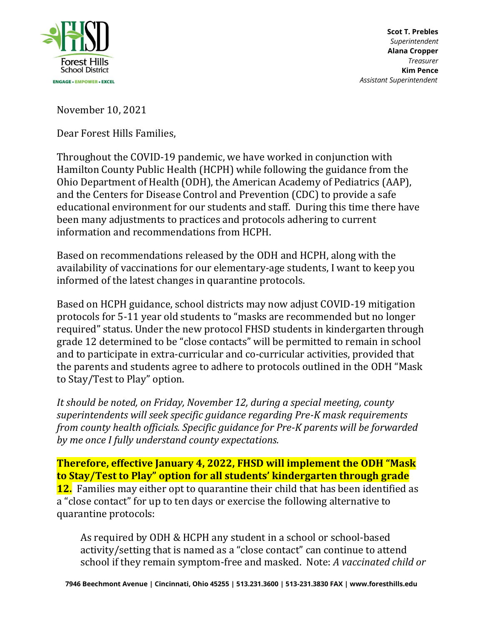

November 10, 2021

Dear Forest Hills Families,

Throughout the COVID-19 pandemic, we have worked in conjunction with Hamilton County Public Health (HCPH) while following the guidance from the Ohio Department of Health (ODH), the American Academy of Pediatrics (AAP), and the Centers for Disease Control and Prevention (CDC) to provide a safe educational environment for our students and staff. During this time there have been many adjustments to practices and protocols adhering to current information and recommendations from HCPH.

Based on recommendations released by the ODH and HCPH, along with the availability of vaccinations for our elementary-age students, I want to keep you informed of the latest changes in quarantine protocols.

Based on HCPH guidance, school districts may now adjust COVID-19 mitigation protocols for 5-11 year old students to "masks are recommended but no longer required" status. Under the new protocol FHSD students in kindergarten through grade 12 determined to be "close contacts" will be permitted to remain in school and to participate in extra-curricular and co-curricular activities, provided that the parents and students agree to adhere to protocols outlined in the ODH "Mask to Stay/Test to Play" option.

*It should be noted, on Friday, November 12, during a special meeting, county superintendents will seek specific guidance regarding Pre-K mask requirements from county health officials. Specific guidance for Pre-K parents will be forwarded by me once I fully understand county expectations.*

**Therefore, effective January 4, 2022, FHSD will implement the ODH "Mask to Stay/Test to Play" option for all students' kindergarten through grade 12.** Families may either opt to quarantine their child that has been identified as a "close contact" for up to ten days or exercise the following alternative to quarantine protocols:

As required by ODH & HCPH any student in a school or school-based activity/setting that is named as a "close contact" can continue to attend school if they remain symptom-free and masked. Note: *A vaccinated child or*